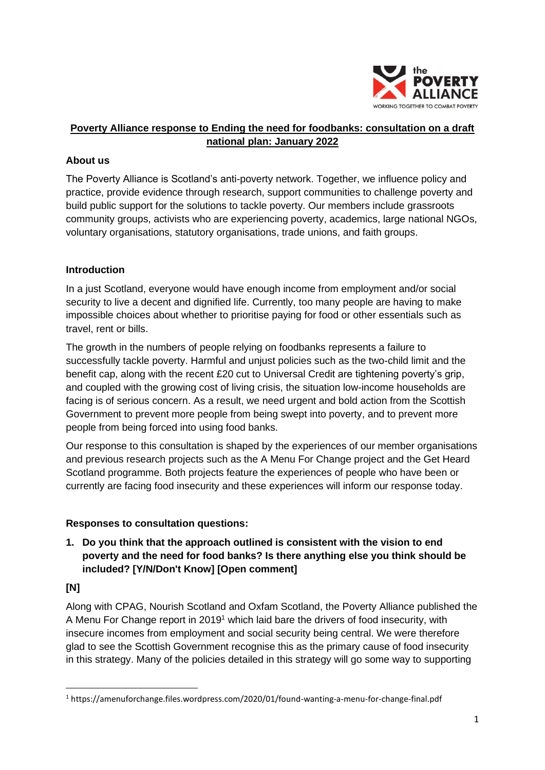

# **Poverty Alliance response to Ending the need for foodbanks: consultation on a draft national plan: January 2022**

## **About us**

The Poverty Alliance is Scotland's anti-poverty network. Together, we influence policy and practice, provide evidence through research, support communities to challenge poverty and build public support for the solutions to tackle poverty. Our members include grassroots community groups, activists who are experiencing poverty, academics, large national NGOs, voluntary organisations, statutory organisations, trade unions, and faith groups.

## **Introduction**

In a just Scotland, everyone would have enough income from employment and/or social security to live a decent and dignified life. Currently, too many people are having to make impossible choices about whether to prioritise paying for food or other essentials such as travel, rent or bills.

The growth in the numbers of people relying on foodbanks represents a failure to successfully tackle poverty. Harmful and unjust policies such as the two-child limit and the benefit cap, along with the recent £20 cut to Universal Credit are tightening poverty's grip, and coupled with the growing cost of living crisis, the situation low-income households are facing is of serious concern. As a result, we need urgent and bold action from the Scottish Government to prevent more people from being swept into poverty, and to prevent more people from being forced into using food banks.

Our response to this consultation is shaped by the experiences of our member organisations and previous research projects such as the A Menu For Change project and the Get Heard Scotland programme. Both projects feature the experiences of people who have been or currently are facing food insecurity and these experiences will inform our response today.

## **Responses to consultation questions:**

**1. Do you think that the approach outlined is consistent with the vision to end poverty and the need for food banks? Is there anything else you think should be included? [Y/N/Don't Know] [Open comment]**

# **[N]**

Along with CPAG, Nourish Scotland and Oxfam Scotland, the Poverty Alliance published the A Menu For Change report in 2019<sup>1</sup> which laid bare the drivers of food insecurity, with insecure incomes from employment and social security being central. We were therefore glad to see the Scottish Government recognise this as the primary cause of food insecurity in this strategy. Many of the policies detailed in this strategy will go some way to supporting

<sup>1</sup> https://amenuforchange.files.wordpress.com/2020/01/found-wanting-a-menu-for-change-final.pdf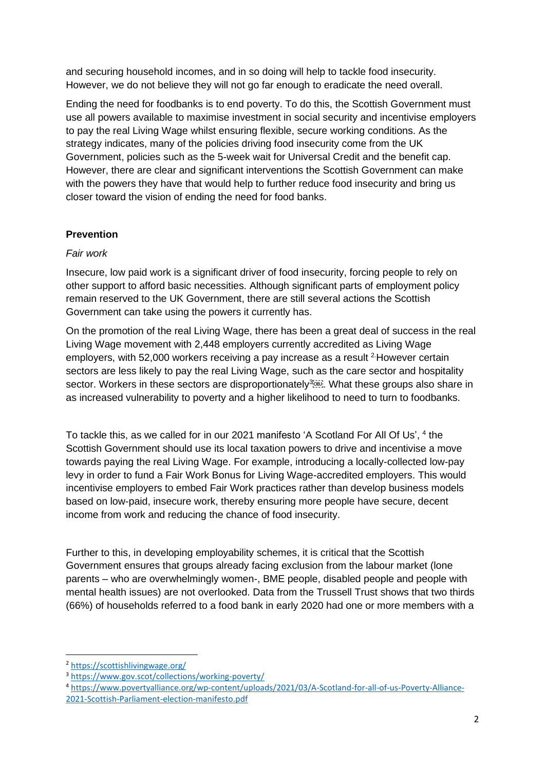and securing household incomes, and in so doing will help to tackle food insecurity. However, we do not believe they will not go far enough to eradicate the need overall.

Ending the need for foodbanks is to end poverty. To do this, the Scottish Government must use all powers available to maximise investment in social security and incentivise employers to pay the real Living Wage whilst ensuring flexible, secure working conditions. As the strategy indicates, many of the policies driving food insecurity come from the UK Government, policies such as the 5-week wait for Universal Credit and the benefit cap. However, there are clear and significant interventions the Scottish Government can make with the powers they have that would help to further reduce food insecurity and bring us closer toward the vision of ending the need for food banks.

## **Prevention**

## *Fair work*

Insecure, low paid work is a significant driver of food insecurity, forcing people to rely on other support to afford basic necessities. Although significant parts of employment policy remain reserved to the UK Government, there are still several actions the Scottish Government can take using the powers it currently has.

On the promotion of the real Living Wage, there has been a great deal of success in the real Living Wage movement with 2,448 employers currently accredited as Living Wage employers, with 52,000 workers receiving a pay increase as a result  $2$ -However certain sectors are less likely to pay the real Living Wage, such as the care sector and hospitality sector. Workers in these sectors are disproportionately<sup>3</sup><sup>3</sup>. What these groups also share in as increased vulnerability to poverty and a higher likelihood to need to turn to foodbanks.

To tackle this, as we called for in our 2021 manifesto 'A Scotland For All Of Us', <sup>4</sup> the Scottish Government should use its local taxation powers to drive and incentivise a move towards paying the real Living Wage. For example, introducing a locally-collected low-pay levy in order to fund a Fair Work Bonus for Living Wage-accredited employers. This would incentivise employers to embed Fair Work practices rather than develop business models based on low-paid, insecure work, thereby ensuring more people have secure, decent income from work and reducing the chance of food insecurity.

Further to this, in developing employability schemes, it is critical that the Scottish Government ensures that groups already facing exclusion from the labour market (lone parents – who are overwhelmingly women-, BME people, disabled people and people with mental health issues) are not overlooked. Data from the Trussell Trust shows that two thirds (66%) of households referred to a food bank in early 2020 had one or more members with a

<sup>2</sup> <https://scottishlivingwage.org/>

<sup>3</sup> <https://www.gov.scot/collections/working-poverty/>

<sup>4</sup> [https://www.povertyalliance.org/wp-content/uploads/2021/03/A-Scotland-for-all-of-us-Poverty-Alliance-](https://www.povertyalliance.org/wp-content/uploads/2021/03/A-Scotland-for-all-of-us-Poverty-Alliance-2021-Scottish-Parliament-election-manifesto.pdf)[2021-Scottish-Parliament-election-manifesto.pdf](https://www.povertyalliance.org/wp-content/uploads/2021/03/A-Scotland-for-all-of-us-Poverty-Alliance-2021-Scottish-Parliament-election-manifesto.pdf)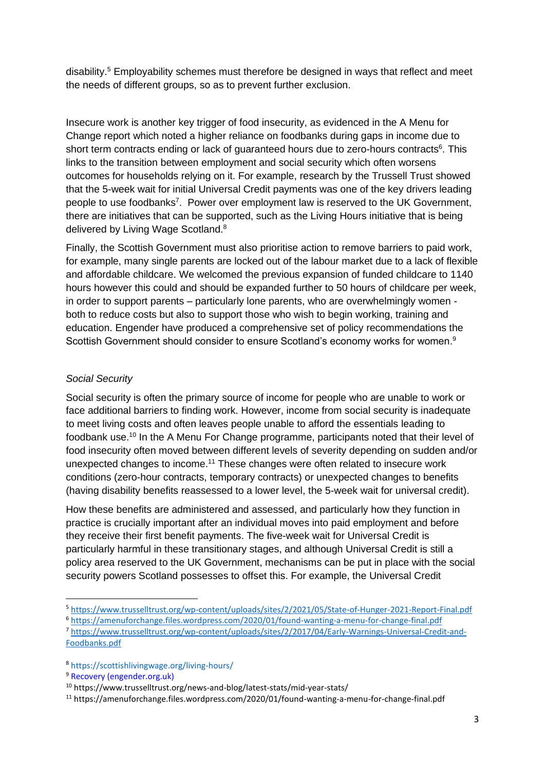disability. <sup>5</sup> Employability schemes must therefore be designed in ways that reflect and meet the needs of different groups, so as to prevent further exclusion.

Insecure work is another key trigger of food insecurity, as evidenced in the A Menu for Change report which noted a higher reliance on foodbanks during gaps in income due to short term contracts ending or lack of guaranteed hours due to zero-hours contracts<sup>6</sup>. This links to the transition between employment and social security which often worsens outcomes for households relying on it. For example, research by the Trussell Trust showed that the 5-week wait for initial Universal Credit payments was one of the key drivers leading people to use foodbanks<sup>7</sup>. Power over employment law is reserved to the UK Government, there are initiatives that can be supported, such as the Living Hours initiative that is being delivered by Living Wage Scotland.<sup>8</sup>

Finally, the Scottish Government must also prioritise action to remove barriers to paid work, for example, many single parents are locked out of the labour market due to a lack of flexible and affordable childcare. We welcomed the previous expansion of funded childcare to 1140 hours however this could and should be expanded further to 50 hours of childcare per week, in order to support parents – particularly lone parents, who are overwhelmingly women both to reduce costs but also to support those who wish to begin working, training and education. Engender have produced a comprehensive set of policy recommendations the Scottish Government should consider to ensure Scotland's economy works for women.<sup>9</sup>

### *Social Security*

Social security is often the primary source of income for people who are unable to work or face additional barriers to finding work. However, income from social security is inadequate to meet living costs and often leaves people unable to afford the essentials leading to foodbank use.<sup>10</sup> In the A Menu For Change programme, participants noted that their level of food insecurity often moved between different levels of severity depending on sudden and/or unexpected changes to income. <sup>11</sup> These changes were often related to insecure work conditions (zero-hour contracts, temporary contracts) or unexpected changes to benefits (having disability benefits reassessed to a lower level, the 5-week wait for universal credit).

How these benefits are administered and assessed, and particularly how they function in practice is crucially important after an individual moves into paid employment and before they receive their first benefit payments. The five-week wait for Universal Credit is particularly harmful in these transitionary stages, and although Universal Credit is still a policy area reserved to the UK Government, mechanisms can be put in place with the social security powers Scotland possesses to offset this. For example, the Universal Credit

<sup>5</sup> <https://www.trusselltrust.org/wp-content/uploads/sites/2/2021/05/State-of-Hunger-2021-Report-Final.pdf>

<sup>6</sup> <https://amenuforchange.files.wordpress.com/2020/01/found-wanting-a-menu-for-change-final.pdf>

<sup>7</sup> [https://www.trusselltrust.org/wp-content/uploads/sites/2/2017/04/Early-Warnings-Universal-Credit-and-](https://www.trusselltrust.org/wp-content/uploads/sites/2/2017/04/Early-Warnings-Universal-Credit-and-Foodbanks.pdf)[Foodbanks.pdf](https://www.trusselltrust.org/wp-content/uploads/sites/2/2017/04/Early-Warnings-Universal-Credit-and-Foodbanks.pdf)

<sup>8</sup> <https://scottishlivingwage.org/living-hours/>

<sup>9</sup> [Recovery \(engender.org.uk\)](https://www.engender.org.uk/content/publications/Gender--Economic-Recovery---Engender-and-Close-the-Gap.pdf)

<sup>10</sup> https://www.trusselltrust.org/news-and-blog/latest-stats/mid-year-stats/

<sup>11</sup> https://amenuforchange.files.wordpress.com/2020/01/found-wanting-a-menu-for-change-final.pdf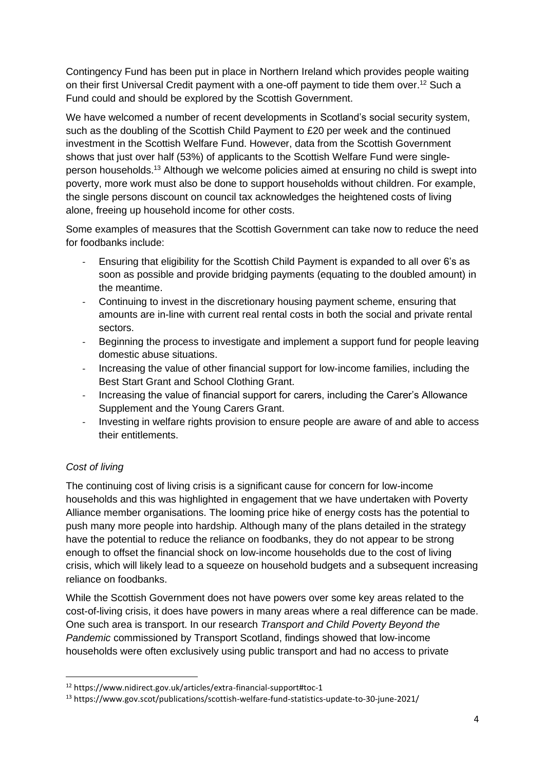Contingency Fund has been put in place in Northern Ireland which provides people waiting on their first Universal Credit payment with a one-off payment to tide them over.<sup>12</sup> Such a Fund could and should be explored by the Scottish Government.

We have welcomed a number of recent developments in Scotland's social security system, such as the doubling of the Scottish Child Payment to £20 per week and the continued investment in the Scottish Welfare Fund. However, data from the Scottish Government shows that just over half (53%) of applicants to the Scottish Welfare Fund were singleperson households.<sup>13</sup> Although we welcome policies aimed at ensuring no child is swept into poverty, more work must also be done to support households without children. For example, the single persons discount on council tax acknowledges the heightened costs of living alone, freeing up household income for other costs.

Some examples of measures that the Scottish Government can take now to reduce the need for foodbanks include:

- Ensuring that eligibility for the Scottish Child Payment is expanded to all over 6's as soon as possible and provide bridging payments (equating to the doubled amount) in the meantime.
- Continuing to invest in the discretionary housing payment scheme, ensuring that amounts are in-line with current real rental costs in both the social and private rental sectors.
- Beginning the process to investigate and implement a support fund for people leaving domestic abuse situations.
- Increasing the value of other financial support for low-income families, including the Best Start Grant and School Clothing Grant.
- Increasing the value of financial support for carers, including the Carer's Allowance Supplement and the Young Carers Grant.
- Investing in welfare rights provision to ensure people are aware of and able to access their entitlements.

# *Cost of living*

The continuing cost of living crisis is a significant cause for concern for low-income households and this was highlighted in engagement that we have undertaken with Poverty Alliance member organisations. The looming price hike of energy costs has the potential to push many more people into hardship. Although many of the plans detailed in the strategy have the potential to reduce the reliance on foodbanks, they do not appear to be strong enough to offset the financial shock on low-income households due to the cost of living crisis, which will likely lead to a squeeze on household budgets and a subsequent increasing reliance on foodbanks.

While the Scottish Government does not have powers over some key areas related to the cost-of-living crisis, it does have powers in many areas where a real difference can be made. One such area is transport. In our research *Transport and Child Poverty Beyond the Pandemic* commissioned by Transport Scotland, findings showed that low-income households were often exclusively using public transport and had no access to private

<sup>12</sup> https://www.nidirect.gov.uk/articles/extra-financial-support#toc-1

<sup>13</sup> https://www.gov.scot/publications/scottish-welfare-fund-statistics-update-to-30-june-2021/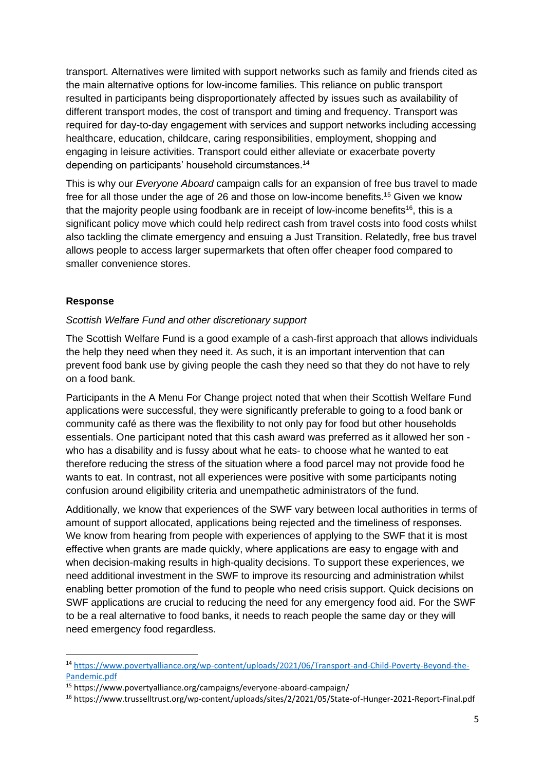transport. Alternatives were limited with support networks such as family and friends cited as the main alternative options for low-income families. This reliance on public transport resulted in participants being disproportionately affected by issues such as availability of different transport modes, the cost of transport and timing and frequency. Transport was required for day-to-day engagement with services and support networks including accessing healthcare, education, childcare, caring responsibilities, employment, shopping and engaging in leisure activities. Transport could either alleviate or exacerbate poverty depending on participants' household circumstances. 14

This is why our *Everyone Aboard* campaign calls for an expansion of free bus travel to made free for all those under the age of 26 and those on low-income benefits.<sup>15</sup> Given we know that the majority people using foodbank are in receipt of low-income benefits<sup>16</sup>, this is a significant policy move which could help redirect cash from travel costs into food costs whilst also tackling the climate emergency and ensuing a Just Transition. Relatedly, free bus travel allows people to access larger supermarkets that often offer cheaper food compared to smaller convenience stores.

### **Response**

#### *Scottish Welfare Fund and other discretionary support*

The Scottish Welfare Fund is a good example of a cash-first approach that allows individuals the help they need when they need it. As such, it is an important intervention that can prevent food bank use by giving people the cash they need so that they do not have to rely on a food bank.

Participants in the A Menu For Change project noted that when their Scottish Welfare Fund applications were successful, they were significantly preferable to going to a food bank or community café as there was the flexibility to not only pay for food but other households essentials. One participant noted that this cash award was preferred as it allowed her son who has a disability and is fussy about what he eats- to choose what he wanted to eat therefore reducing the stress of the situation where a food parcel may not provide food he wants to eat. In contrast, not all experiences were positive with some participants noting confusion around eligibility criteria and unempathetic administrators of the fund.

Additionally, we know that experiences of the SWF vary between local authorities in terms of amount of support allocated, applications being rejected and the timeliness of responses. We know from hearing from people with experiences of applying to the SWF that it is most effective when grants are made quickly, where applications are easy to engage with and when decision-making results in high-quality decisions. To support these experiences, we need additional investment in the SWF to improve its resourcing and administration whilst enabling better promotion of the fund to people who need crisis support. Quick decisions on SWF applications are crucial to reducing the need for any emergency food aid. For the SWF to be a real alternative to food banks, it needs to reach people the same day or they will need emergency food regardless.

<sup>14</sup> [https://www.povertyalliance.org/wp-content/uploads/2021/06/Transport-and-Child-Poverty-Beyond-the-](https://www.povertyalliance.org/wp-content/uploads/2021/06/Transport-and-Child-Poverty-Beyond-the-Pandemic.pdf)[Pandemic.pdf](https://www.povertyalliance.org/wp-content/uploads/2021/06/Transport-and-Child-Poverty-Beyond-the-Pandemic.pdf)

<sup>15</sup> https://www.povertyalliance.org/campaigns/everyone-aboard-campaign/

<sup>16</sup> https://www.trusselltrust.org/wp-content/uploads/sites/2/2021/05/State-of-Hunger-2021-Report-Final.pdf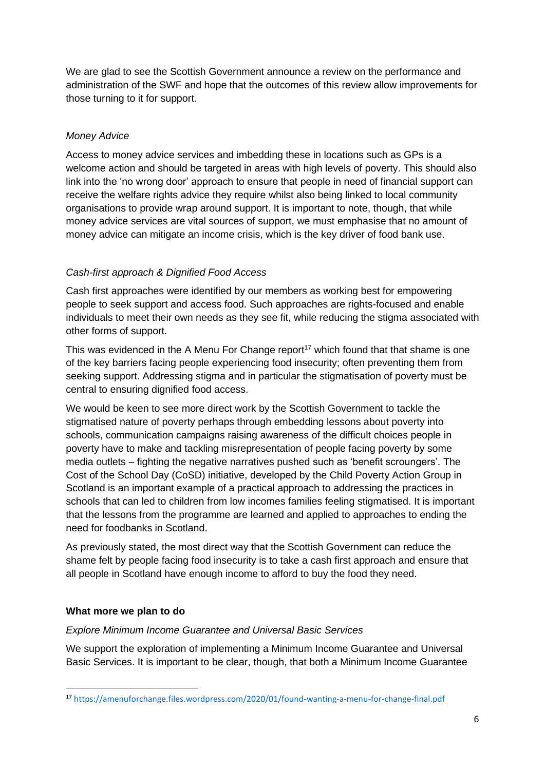We are glad to see the Scottish Government announce a review on the performance and administration of the SWF and hope that the outcomes of this review allow improvements for those turning to it for support.

# *Money Advice*

Access to money advice services and imbedding these in locations such as GPs is a welcome action and should be targeted in areas with high levels of poverty. This should also link into the 'no wrong door' approach to ensure that people in need of financial support can receive the welfare rights advice they require whilst also being linked to local community organisations to provide wrap around support. It is important to note, though, that while money advice services are vital sources of support, we must emphasise that no amount of money advice can mitigate an income crisis, which is the key driver of food bank use.

# *Cash-first approach & Dignified Food Access*

Cash first approaches were identified by our members as working best for empowering people to seek support and access food. Such approaches are rights-focused and enable individuals to meet their own needs as they see fit, while reducing the stigma associated with other forms of support.

This was evidenced in the A Menu For Change report<sup>17</sup> which found that that shame is one of the key barriers facing people experiencing food insecurity; often preventing them from seeking support. Addressing stigma and in particular the stigmatisation of poverty must be central to ensuring dignified food access.

We would be keen to see more direct work by the Scottish Government to tackle the stigmatised nature of poverty perhaps through embedding lessons about poverty into schools, communication campaigns raising awareness of the difficult choices people in poverty have to make and tackling misrepresentation of people facing poverty by some media outlets – fighting the negative narratives pushed such as 'benefit scroungers'. The Cost of the School Day (CoSD) initiative, developed by the Child Poverty Action Group in Scotland is an important example of a practical approach to addressing the practices in schools that can led to children from low incomes families feeling stigmatised. It is important that the lessons from the programme are learned and applied to approaches to ending the need for foodbanks in Scotland.

As previously stated, the most direct way that the Scottish Government can reduce the shame felt by people facing food insecurity is to take a cash first approach and ensure that all people in Scotland have enough income to afford to buy the food they need.

## **What more we plan to do**

### *Explore Minimum Income Guarantee and Universal Basic Services*

We support the exploration of implementing a Minimum Income Guarantee and Universal Basic Services. It is important to be clear, though, that both a Minimum Income Guarantee

<sup>17</sup> <https://amenuforchange.files.wordpress.com/2020/01/found-wanting-a-menu-for-change-final.pdf>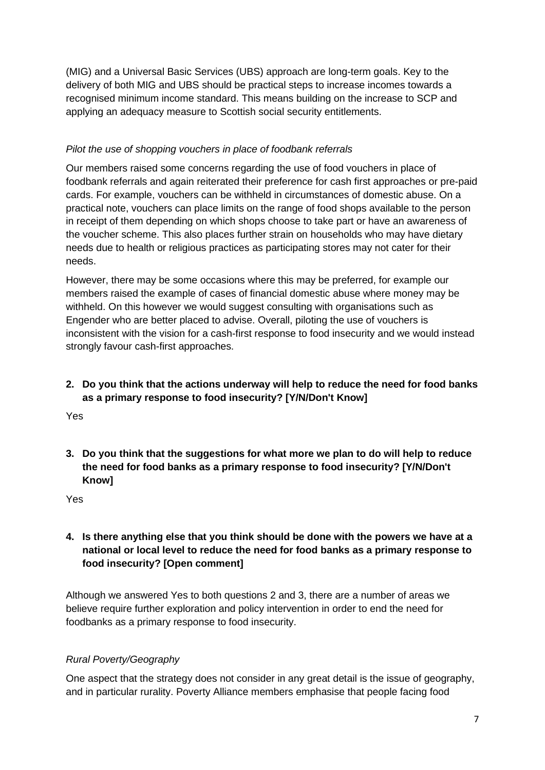(MIG) and a Universal Basic Services (UBS) approach are long-term goals. Key to the delivery of both MIG and UBS should be practical steps to increase incomes towards a recognised minimum income standard. This means building on the increase to SCP and applying an adequacy measure to Scottish social security entitlements.

# *Pilot the use of shopping vouchers in place of foodbank referrals*

Our members raised some concerns regarding the use of food vouchers in place of foodbank referrals and again reiterated their preference for cash first approaches or pre-paid cards. For example, vouchers can be withheld in circumstances of domestic abuse. On a practical note, vouchers can place limits on the range of food shops available to the person in receipt of them depending on which shops choose to take part or have an awareness of the voucher scheme. This also places further strain on households who may have dietary needs due to health or religious practices as participating stores may not cater for their needs.

However, there may be some occasions where this may be preferred, for example our members raised the example of cases of financial domestic abuse where money may be withheld. On this however we would suggest consulting with organisations such as Engender who are better placed to advise. Overall, piloting the use of vouchers is inconsistent with the vision for a cash-first response to food insecurity and we would instead strongly favour cash-first approaches.

# **2. Do you think that the actions underway will help to reduce the need for food banks as a primary response to food insecurity? [Y/N/Don't Know]**

Yes

**3. Do you think that the suggestions for what more we plan to do will help to reduce the need for food banks as a primary response to food insecurity? [Y/N/Don't Know]**

Yes

# **4. Is there anything else that you think should be done with the powers we have at a national or local level to reduce the need for food banks as a primary response to food insecurity? [Open comment]**

Although we answered Yes to both questions 2 and 3, there are a number of areas we believe require further exploration and policy intervention in order to end the need for foodbanks as a primary response to food insecurity.

# *Rural Poverty/Geography*

One aspect that the strategy does not consider in any great detail is the issue of geography, and in particular rurality. Poverty Alliance members emphasise that people facing food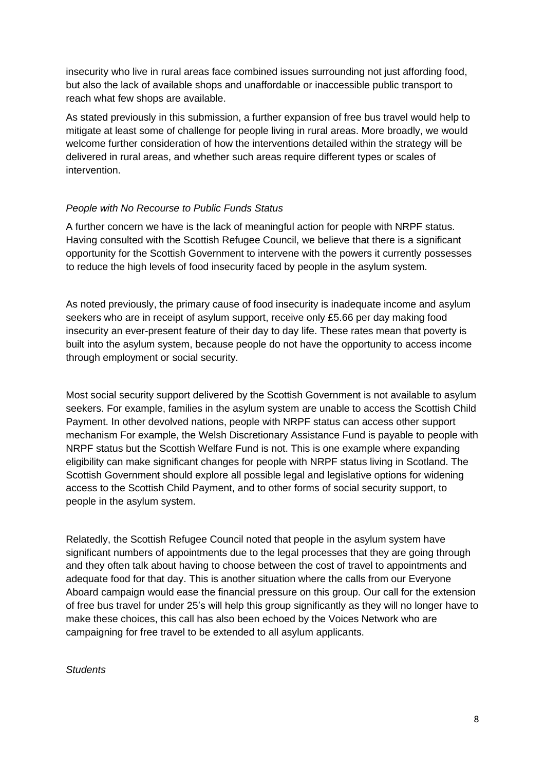insecurity who live in rural areas face combined issues surrounding not just affording food, but also the lack of available shops and unaffordable or inaccessible public transport to reach what few shops are available.

As stated previously in this submission, a further expansion of free bus travel would help to mitigate at least some of challenge for people living in rural areas. More broadly, we would welcome further consideration of how the interventions detailed within the strategy will be delivered in rural areas, and whether such areas require different types or scales of intervention.

### *People with No Recourse to Public Funds Status*

A further concern we have is the lack of meaningful action for people with NRPF status. Having consulted with the Scottish Refugee Council, we believe that there is a significant opportunity for the Scottish Government to intervene with the powers it currently possesses to reduce the high levels of food insecurity faced by people in the asylum system.

As noted previously, the primary cause of food insecurity is inadequate income and asylum seekers who are in receipt of asylum support, receive only £5.66 per day making food insecurity an ever-present feature of their day to day life. These rates mean that poverty is built into the asylum system, because people do not have the opportunity to access income through employment or social security.

Most social security support delivered by the Scottish Government is not available to asylum seekers. For example, families in the asylum system are unable to access the Scottish Child Payment. In other devolved nations, people with NRPF status can access other support mechanism For example, the Welsh Discretionary Assistance Fund is payable to people with NRPF status but the Scottish Welfare Fund is not. This is one example where expanding eligibility can make significant changes for people with NRPF status living in Scotland. The Scottish Government should explore all possible legal and legislative options for widening access to the Scottish Child Payment, and to other forms of social security support, to people in the asylum system.

Relatedly, the Scottish Refugee Council noted that people in the asylum system have significant numbers of appointments due to the legal processes that they are going through and they often talk about having to choose between the cost of travel to appointments and adequate food for that day. This is another situation where the calls from our Everyone Aboard campaign would ease the financial pressure on this group. Our call for the extension of free bus travel for under 25's will help this group significantly as they will no longer have to make these choices, this call has also been echoed by the Voices Network who are campaigning for free travel to be extended to all asylum applicants.

#### *Students*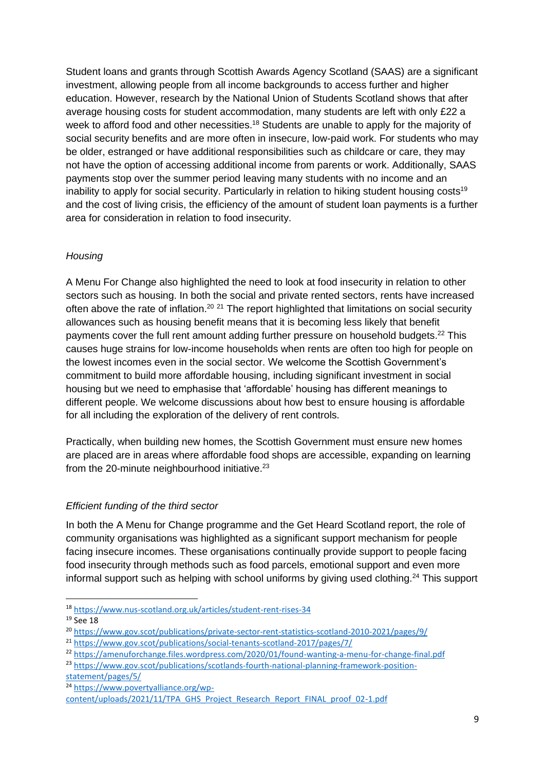Student loans and grants through Scottish Awards Agency Scotland (SAAS) are a significant investment, allowing people from all income backgrounds to access further and higher education. However, research by the National Union of Students Scotland shows that after average housing costs for student accommodation, many students are left with only £22 a week to afford food and other necessities.<sup>18</sup> Students are unable to apply for the majority of social security benefits and are more often in insecure, low-paid work. For students who may be older, estranged or have additional responsibilities such as childcare or care, they may not have the option of accessing additional income from parents or work. Additionally, SAAS payments stop over the summer period leaving many students with no income and an inability to apply for social security. Particularly in relation to hiking student housing costs<sup>19</sup> and the cost of living crisis, the efficiency of the amount of student loan payments is a further area for consideration in relation to food insecurity.

## *Housing*

A Menu For Change also highlighted the need to look at food insecurity in relation to other sectors such as housing. In both the social and private rented sectors, rents have increased often above the rate of inflation.<sup>20 21</sup> The report highlighted that limitations on social security allowances such as housing benefit means that it is becoming less likely that benefit payments cover the full rent amount adding further pressure on household budgets.<sup>22</sup> This causes huge strains for low-income households when rents are often too high for people on the lowest incomes even in the social sector. We welcome the Scottish Government's commitment to build more affordable housing, including significant investment in social housing but we need to emphasise that 'affordable' housing has different meanings to different people. We welcome discussions about how best to ensure housing is affordable for all including the exploration of the delivery of rent controls.

Practically, when building new homes, the Scottish Government must ensure new homes are placed are in areas where affordable food shops are accessible, expanding on learning from the 20-minute neighbourhood initiative.<sup>23</sup>

## *Efficient funding of the third sector*

In both the A Menu for Change programme and the Get Heard Scotland report, the role of community organisations was highlighted as a significant support mechanism for people facing insecure incomes. These organisations continually provide support to people facing food insecurity through methods such as food parcels, emotional support and even more informal support such as helping with school uniforms by giving used clothing.<sup>24</sup> This support

[statement/pages/5/](https://www.gov.scot/publications/scotlands-fourth-national-planning-framework-position-statement/pages/5/)

<sup>18</sup> <https://www.nus-scotland.org.uk/articles/student-rent-rises-34>

<sup>&</sup>lt;sup>19</sup> See 18

<sup>20</sup> <https://www.gov.scot/publications/private-sector-rent-statistics-scotland-2010-2021/pages/9/>

<sup>21</sup> <https://www.gov.scot/publications/social-tenants-scotland-2017/pages/7/>

<sup>22</sup> <https://amenuforchange.files.wordpress.com/2020/01/found-wanting-a-menu-for-change-final.pdf>

<sup>&</sup>lt;sup>23</sup> [https://www.gov.scot/publications/scotlands-fourth-national-planning-framework-position-](https://www.gov.scot/publications/scotlands-fourth-national-planning-framework-position-statement/pages/5/)

<sup>24</sup> [https://www.povertyalliance.org/wp-](https://www.povertyalliance.org/wp-content/uploads/2021/11/TPA_GHS_Project_Research_Report_FINAL_proof_02-1.pdf)

[content/uploads/2021/11/TPA\\_GHS\\_Project\\_Research\\_Report\\_FINAL\\_proof\\_02-1.pdf](https://www.povertyalliance.org/wp-content/uploads/2021/11/TPA_GHS_Project_Research_Report_FINAL_proof_02-1.pdf)